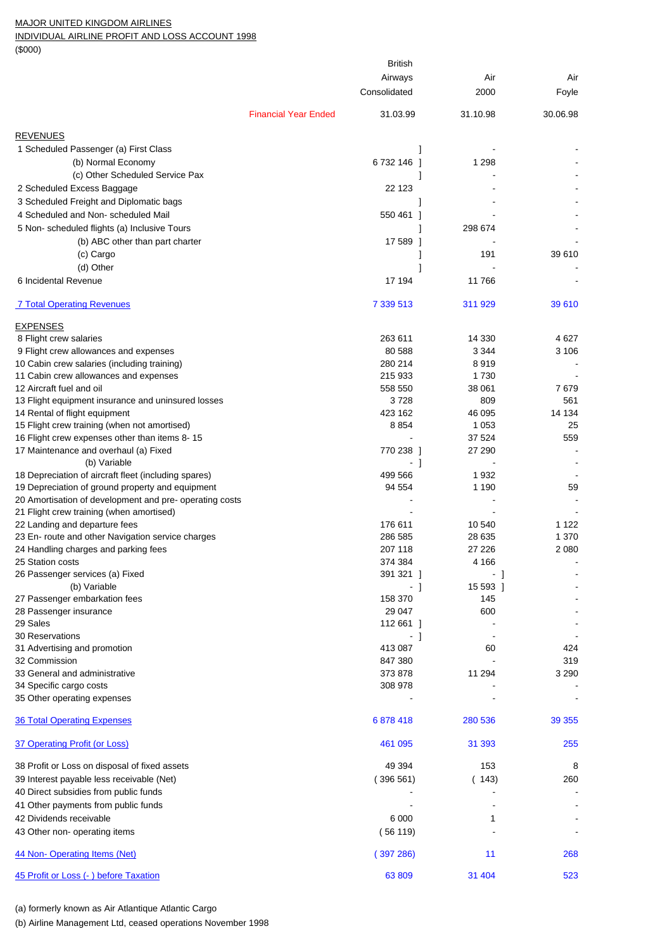## MAJOR UNITED KINGDOM AIRLINES

INDIVIDUAL AIRLINE PROFIT AND LOSS ACCOUNT 1998

(\$000)

|                                                                           |                             | British       |          |          |
|---------------------------------------------------------------------------|-----------------------------|---------------|----------|----------|
|                                                                           |                             | Airways       | Air      | Air      |
|                                                                           |                             | Consolidated  | 2000     | Foyle    |
|                                                                           |                             |               |          |          |
|                                                                           | <b>Financial Year Ended</b> | 31.03.99      | 31.10.98 | 30.06.98 |
| <b>REVENUES</b>                                                           |                             |               |          |          |
| 1 Scheduled Passenger (a) First Class                                     |                             |               |          |          |
| (b) Normal Economy                                                        |                             | 6732146       | 1 2 9 8  |          |
| (c) Other Scheduled Service Pax                                           |                             | 1             |          |          |
| 2 Scheduled Excess Baggage                                                |                             | 22 123        |          |          |
| 3 Scheduled Freight and Diplomatic bags                                   |                             |               |          |          |
| 4 Scheduled and Non-scheduled Mail                                        |                             | 550 461<br>-1 |          |          |
| 5 Non- scheduled flights (a) Inclusive Tours                              |                             |               | 298 674  |          |
| (b) ABC other than part charter                                           |                             | 17 589 1      |          |          |
| (c) Cargo                                                                 |                             |               | 191      | 39 610   |
| (d) Other                                                                 |                             |               |          |          |
| 6 Incidental Revenue                                                      |                             | 17 194        | 11766    |          |
|                                                                           |                             |               |          |          |
| <b>7 Total Operating Revenues</b>                                         |                             | 7 339 513     | 311 929  | 39 610   |
|                                                                           |                             |               |          |          |
| <b>EXPENSES</b><br>8 Flight crew salaries                                 |                             | 263 611       | 14 330   | 4 627    |
| 9 Flight crew allowances and expenses                                     |                             | 80 588        | 3 3 4 4  | 3 106    |
| 10 Cabin crew salaries (including training)                               |                             | 280 214       | 8919     |          |
| 11 Cabin crew allowances and expenses                                     |                             | 215 933       | 1730     |          |
| 12 Aircraft fuel and oil                                                  |                             | 558 550       | 38 061   | 7679     |
| 13 Flight equipment insurance and uninsured losses                        |                             | 3728          | 809      | 561      |
| 14 Rental of flight equipment                                             |                             | 423 162       | 46 095   | 14 134   |
| 15 Flight crew training (when not amortised)                              |                             | 8854          | 1 0 5 3  | 25       |
| 16 Flight crew expenses other than items 8-15                             |                             |               | 37 524   | 559      |
| 17 Maintenance and overhaul (a) Fixed                                     |                             | 770 238 1     | 27 290   |          |
| (b) Variable                                                              |                             | -1            |          |          |
| 18 Depreciation of aircraft fleet (including spares)                      |                             | 499 566       | 1932     |          |
| 19 Depreciation of ground property and equipment                          |                             | 94 554        | 1 1 9 0  | 59       |
| 20 Amortisation of development and pre-operating costs                    |                             |               |          |          |
| 21 Flight crew training (when amortised)<br>22 Landing and departure fees |                             | 176 611       | 10 540   | 1 1 2 2  |
| 23 En- route and other Navigation service charges                         |                             | 286 585       | 28 635   | 1 370    |
| 24 Handling charges and parking fees                                      |                             | 207 118       | 27 226   | 2 0 8 0  |
| 25 Station costs                                                          |                             | 374 384       | 4 1 6 6  |          |
| 26 Passenger services (a) Fixed                                           |                             | 391 321 ]     | - 1      |          |
| (b) Variable                                                              |                             | - 1           | 15 593 1 |          |
| 27 Passenger embarkation fees                                             |                             | 158 370       | 145      |          |
| 28 Passenger insurance                                                    |                             | 29 047        | 600      |          |
| 29 Sales                                                                  |                             | 112 661 ]     |          |          |
| 30 Reservations                                                           |                             | $-1$          |          |          |
| 31 Advertising and promotion                                              |                             | 413 087       | 60       | 424      |
| 32 Commission                                                             |                             | 847 380       |          | 319      |
| 33 General and administrative                                             |                             | 373 878       | 11 294   | 3 2 9 0  |
| 34 Specific cargo costs<br>35 Other operating expenses                    |                             | 308 978       |          |          |
|                                                                           |                             |               |          |          |
| <b>36 Total Operating Expenses</b>                                        |                             | 6878418       | 280 536  | 39 355   |
|                                                                           |                             |               |          |          |
| 37 Operating Profit (or Loss)                                             |                             | 461 095       | 31 393   | 255      |
| 38 Profit or Loss on disposal of fixed assets                             |                             | 49 394        | 153      | 8        |
| 39 Interest payable less receivable (Net)                                 |                             | (396561)      | (143)    | 260      |
| 40 Direct subsidies from public funds                                     |                             |               |          |          |
| 41 Other payments from public funds                                       |                             |               |          |          |
| 42 Dividends receivable                                                   |                             | 6 0 0 0       | 1        |          |
| 43 Other non-operating items                                              |                             | (56119)       |          |          |
|                                                                           |                             |               |          |          |
| 44 Non-Operating Items (Net)                                              |                             | (397286)      | 11       | 268      |
|                                                                           |                             |               |          |          |
| 45 Profit or Loss (-) before Taxation                                     |                             | 63809         | 31 404   | 523      |

(a) formerly known as Air Atlantique Atlantic Cargo

(b) Airline Management Ltd, ceased operations November 1998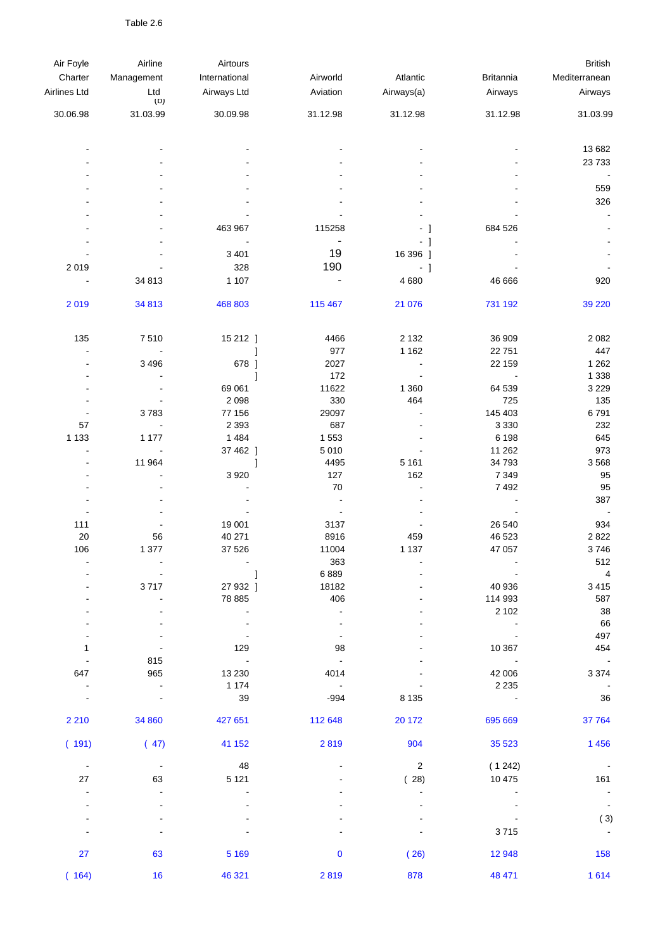Table 2.6

| Air Foyle                | Airline        | Airtours      |                        |                |                              | <b>British</b>        |
|--------------------------|----------------|---------------|------------------------|----------------|------------------------------|-----------------------|
| Charter                  | Management     | International | Airworld               | Atlantic       | <b>Britannia</b>             | Mediterranean         |
| Airlines Ltd             | Ltd            | Airways Ltd   | Aviation               | Airways(a)     | Airways                      | Airways               |
|                          | (D)            |               |                        |                |                              |                       |
| 30.06.98                 | 31.03.99       | 30.09.98      | 31.12.98               | 31.12.98       | 31.12.98                     | 31.03.99              |
|                          |                |               |                        |                |                              | 13 682                |
|                          |                |               |                        |                |                              | 23 7 33               |
|                          |                |               |                        |                |                              | ÷,                    |
|                          |                |               |                        |                |                              | 559                   |
|                          |                |               |                        |                |                              | 326                   |
|                          |                |               |                        |                |                              | $\sim$                |
|                          |                | 463 967       | 115258                 | $-1$           | 684 526                      |                       |
|                          |                |               | ۰                      | $-1$           |                              |                       |
|                          |                | 3 4 0 1       | 19                     | 16 396 ]       |                              |                       |
| 2019                     |                | 328           | 190                    |                |                              |                       |
|                          | 34 813         | 1 1 0 7       | -                      | $-1$<br>4680   | 46 666                       | 920                   |
|                          |                |               |                        |                |                              |                       |
| 2019                     | 34 813         | 468 803       | 115 467                | 21 0 76        | 731 192                      | 39 2 20               |
|                          |                |               |                        |                |                              |                       |
| 135                      | 7510           | 15 212 ]      | 4466                   | 2 1 3 2        | 36 909                       | 2 0 8 2               |
| $\overline{\phantom{a}}$ |                |               | 977                    | 1 1 6 2        | 22 751                       | 447                   |
|                          | 3 4 9 6        | 678 ]         | 2027                   | $\blacksquare$ | 22 159                       | 1 2 6 2               |
|                          |                | 1             | 172                    | $\overline{a}$ | $\blacksquare$               | 1 3 3 8               |
|                          |                | 69 061        | 11622                  | 1 3 6 0        | 64 539                       | 3 2 2 9               |
|                          |                | 2 0 9 8       | 330                    | 464            | 725                          | 135                   |
|                          | 3783           | 77 156        | 29097                  |                | 145 403                      | 6791                  |
| 57                       |                | 2 3 9 3       | 687                    |                | 3 3 3 0                      | 232                   |
| 1 1 3 3                  | 1 1 7 7        | 1 4 8 4       | 1 5 5 3                |                | 6 198                        | 645                   |
|                          | ÷,             | 37 462 ]      | 5 0 1 0                |                | 11 262                       | 973                   |
|                          | 11 964         | 1             | 4495                   | 5 1 6 1        | 34 793                       | 3568                  |
|                          |                | 3 9 2 0       | 127                    | 162            | 7 3 4 9                      | 95                    |
|                          |                |               | 70                     | $\overline{a}$ | 7 4 9 2                      | 95                    |
|                          |                |               | $\blacksquare$         |                |                              | 387                   |
| 111                      |                | 19 001        | $\blacksquare$<br>3137 |                | 26 540                       | $\blacksquare$<br>934 |
| 20                       | 56             | 40 271        | 8916                   | 459            | 46 523                       | 2822                  |
| 106                      | 1 377          | 37 526        | 11004                  | 1 1 3 7        | 47 057                       | 3746                  |
|                          |                |               | 363                    |                |                              | 512                   |
|                          |                |               | 6889                   |                |                              | $\overline{4}$        |
|                          | 3717           | 27 932 ]      | 18182                  |                | 40 936                       | 3415                  |
|                          |                | 78 885        | 406                    |                | 114 993                      | 587                   |
|                          |                |               | $\blacksquare$         |                | 2 1 0 2                      | 38                    |
|                          |                |               |                        |                | $\qquad \qquad \blacksquare$ | 66                    |
|                          |                |               |                        |                |                              | 497                   |
| 1                        |                | 129           | 98                     |                | 10 367                       | 454                   |
|                          | 815            | $\sim 100$    | $\blacksquare$         |                |                              | $\sim 100$            |
| 647                      | 965            | 13 2 30       | 4014                   |                | 42 006                       | 3 3 7 4               |
|                          | $\blacksquare$ | 1 1 7 4       | $\sim$ 100 $\pm$       |                | 2 2 3 5                      | $\sim$ $-$            |
|                          |                | 39            | $-994$                 | 8 1 3 5        |                              | 36                    |
| 2 2 1 0                  | 34 860         | 427 651       | 112 648                | 20 172         | 695 669                      | 37 764                |
| (191)                    | (47)           | 41 152        | 2819                   | 904            | 35 5 23                      | 1 4 5 6               |
| $\sim$ $-$               | $\blacksquare$ | 48            |                        | $\overline{2}$ | (1242)                       | $\sim$ $-$            |
| 27                       | 63             | 5 1 2 1       |                        | (28)           | 10 475                       | 161                   |
|                          |                |               |                        |                |                              |                       |
|                          |                |               |                        |                |                              |                       |
|                          |                |               |                        |                |                              | (3)                   |
|                          |                |               |                        |                | 3715                         | $\blacksquare$        |
|                          |                |               |                        |                |                              |                       |
| 27                       | 63             | 5 1 6 9       | $\mathbf 0$            | (26)           | 12 948                       | 158                   |
| (164)                    | 16             | 46 321        | 2819                   | 878            | 48 471                       | 1614                  |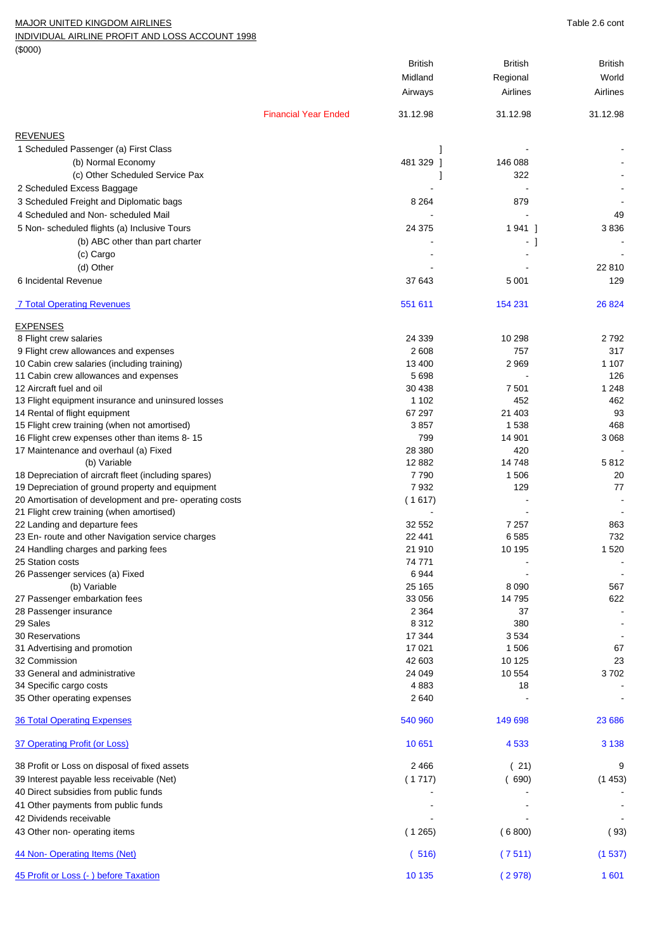## MAJOR UNITED KINGDOM AIRLINES **Table 2.6** cont

INDIVIDUAL AIRLINE PROFIT AND LOSS ACCOUNT 1998

(\$000)

| $1$ ably 2.0 corre |
|--------------------|
|                    |
|                    |
|                    |
|                    |
|                    |

|                                                        |                             | <b>British</b>     | <b>British</b> | <b>British</b> |
|--------------------------------------------------------|-----------------------------|--------------------|----------------|----------------|
|                                                        |                             | Midland            | Regional       | World          |
|                                                        |                             | Airways            | Airlines       | Airlines       |
|                                                        | <b>Financial Year Ended</b> | 31.12.98           | 31.12.98       | 31.12.98       |
| <b>REVENUES</b>                                        |                             |                    |                |                |
| 1 Scheduled Passenger (a) First Class                  |                             |                    |                |                |
| (b) Normal Economy                                     |                             | 481 329 1          | 146 088        |                |
| (c) Other Scheduled Service Pax                        |                             |                    | 322            |                |
| 2 Scheduled Excess Baggage                             |                             |                    |                |                |
| 3 Scheduled Freight and Diplomatic bags                |                             | 8 2 6 4            | 879            |                |
| 4 Scheduled and Non-scheduled Mail                     |                             |                    |                | 49             |
| 5 Non-scheduled flights (a) Inclusive Tours            |                             | 24 375             | 1941 1         | 3836           |
| (b) ABC other than part charter                        |                             |                    | - 1            |                |
| (c) Cargo                                              |                             |                    |                |                |
| (d) Other                                              |                             |                    |                | 22 810         |
| 6 Incidental Revenue                                   |                             | 37 643             | 5 0 0 1        | 129            |
| <b>7 Total Operating Revenues</b>                      |                             | 551 611            | 154 231        | 26 8 24        |
| <b>EXPENSES</b>                                        |                             |                    |                |                |
| 8 Flight crew salaries                                 |                             | 24 339             | 10 298         | 2 792          |
| 9 Flight crew allowances and expenses                  |                             | 2 6 0 8            | 757            | 317            |
| 10 Cabin crew salaries (including training)            |                             | 13 400             | 2 9 6 9        | 1 107          |
| 11 Cabin crew allowances and expenses                  |                             | 5 6 9 8            |                | 126            |
| 12 Aircraft fuel and oil                               |                             | 30 438             | 7 501          | 1 2 4 8        |
| 13 Flight equipment insurance and uninsured losses     |                             | 1 1 0 2            | 452            | 462            |
| 14 Rental of flight equipment                          |                             | 67 297             | 21 403         | 93             |
| 15 Flight crew training (when not amortised)           |                             | 3857               | 1 5 3 8        | 468            |
| 16 Flight crew expenses other than items 8-15          |                             | 799<br>28 380      | 14 901<br>420  | 3 0 6 8        |
| 17 Maintenance and overhaul (a) Fixed<br>(b) Variable  |                             | 12 882             | 14748          | 5 812          |
| 18 Depreciation of aircraft fleet (including spares)   |                             | 7790               | 1 506          | 20             |
| 19 Depreciation of ground property and equipment       |                             | 7932               | 129            | 77             |
| 20 Amortisation of development and pre-operating costs |                             | (1617)             |                |                |
| 21 Flight crew training (when amortised)               |                             |                    |                |                |
| 22 Landing and departure fees                          |                             | 32 552             | 7 2 5 7        | 863            |
| 23 En-route and other Navigation service charges       |                             | 22 441             | 6585           | 732            |
| 24 Handling charges and parking fees                   |                             | 21 910             | 10 195         | 1520           |
| 25 Station costs                                       |                             | 74 771             |                |                |
| 26 Passenger services (a) Fixed                        |                             | 6944               |                | $\blacksquare$ |
| (b) Variable                                           |                             | 25 165             | 8 0 9 0        | 567            |
| 27 Passenger embarkation fees                          |                             | 33 056             | 14 795         | 622            |
| 28 Passenger insurance<br>29 Sales                     |                             | 2 3 6 4<br>8 3 1 2 | 37<br>380      |                |
| <b>30 Reservations</b>                                 |                             | 17 344             | 3534           |                |
| 31 Advertising and promotion                           |                             | 17 021             | 1 506          | 67             |
| 32 Commission                                          |                             | 42 603             | 10 125         | 23             |
| 33 General and administrative                          |                             | 24 049             | 10 554         | 3702           |
| 34 Specific cargo costs                                |                             | 4883               | 18             |                |
| 35 Other operating expenses                            |                             | 2 640              |                |                |
| <b>36 Total Operating Expenses</b>                     |                             | 540 960            | 149 698        | 23 686         |
| 37 Operating Profit (or Loss)                          |                             | 10 651             | 4 5 3 3        | 3 1 3 8        |
| 38 Profit or Loss on disposal of fixed assets          |                             | 2 4 6 6            | (21)           | 9              |
| 39 Interest payable less receivable (Net)              |                             | (1717)             | (690)          | (1453)         |
| 40 Direct subsidies from public funds                  |                             |                    |                |                |
| 41 Other payments from public funds                    |                             |                    |                |                |
| 42 Dividends receivable                                |                             |                    |                |                |
| 43 Other non- operating items                          |                             | (1265)             | (6800)         | (93)           |
| 44 Non-Operating Items (Net)                           |                             | (516)              | (7511)         | (1537)         |
| 45 Profit or Loss (- ) before Taxation                 |                             | 10 135             | (2978)         | 1 601          |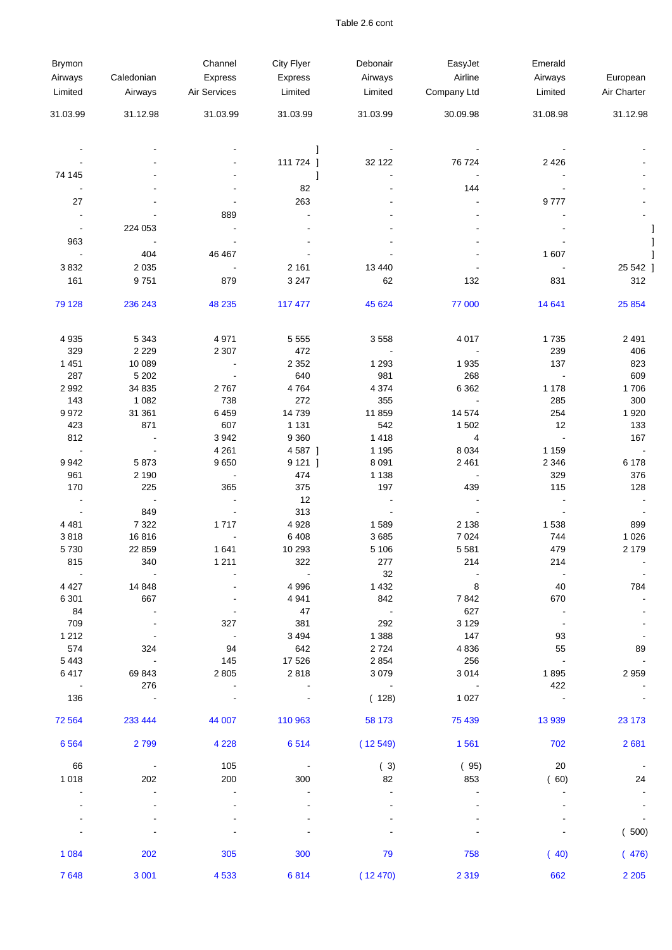## Table 2.6 cont

| Brymon                |                   | Channel         | City Flyer           | Debonair           | EasyJet          | Emerald                  |                       |
|-----------------------|-------------------|-----------------|----------------------|--------------------|------------------|--------------------------|-----------------------|
| Airways               | Caledonian        | Express         | Express              | Airways            | Airline          | Airways                  | European              |
| Limited               | Airways           | Air Services    | Limited              | Limited            | Company Ltd      | Limited                  | Air Charter           |
| 31.03.99              | 31.12.98          | 31.03.99        | 31.03.99             | 31.03.99           | 30.09.98         | 31.08.98                 | 31.12.98              |
|                       |                   |                 |                      |                    |                  |                          |                       |
|                       |                   |                 | 1                    |                    |                  |                          |                       |
| 74 145                |                   |                 | 111 724 ]            | 32 122             | 76 724           | 2 4 2 6                  |                       |
|                       |                   |                 | 1<br>82              |                    | 144              |                          |                       |
| 27                    |                   |                 | 263                  |                    |                  | 9777                     |                       |
|                       |                   | 889             |                      |                    |                  |                          |                       |
| $\sim$                | 224 053           |                 |                      |                    |                  |                          |                       |
| 963                   |                   |                 |                      |                    |                  |                          |                       |
|                       | 404               | 46 467          |                      |                    |                  | 1 607                    |                       |
| 3832                  | 2 0 3 5           |                 | 2 1 6 1              | 13 4 40            |                  |                          | 25 542                |
| 161                   | 9751              | 879             | 3 2 4 7              | 62                 | 132              | 831                      | 312                   |
| 79 128                | 236 243           | 48 235          | 117 477              | 45 624             | 77 000           | 14 641                   | 25 8 54               |
| 4 9 3 5               | 5 3 4 3           | 4 9 7 1         | 5 5 5 5              | 3558               | 4 0 1 7          | 1735                     | 2 4 9 1               |
| 329                   | 2 2 2 9           | 2 3 0 7         | 472                  | $\blacksquare$     |                  | 239                      | 406                   |
| 1 4 5 1               | 10 089            | $\blacksquare$  | 2 3 5 2              | 1 2 9 3            | 1935             | 137                      | 823                   |
| 287                   | 5 2 0 2           |                 | 640                  | 981                | 268              |                          | 609                   |
| 2 9 9 2               | 34 835            | 2767            | 4764                 | 4 3 7 4            | 6 3 6 2          | 1 1 7 8                  | 1706                  |
| 143                   | 1 0 8 2           | 738             | 272                  | 355                |                  | 285                      | 300                   |
| 9972                  | 31 361            | 6459            | 14739                | 11 859             | 14 574           | 254                      | 1920                  |
| 423                   | 871               | 607             | 1 1 3 1              | 542                | 1 5 0 2          | 12<br>$\blacksquare$     | 133                   |
| 812<br>$\blacksquare$ | $\blacksquare$    | 3942<br>4 2 6 1 | 9 3 6 0<br>4 5 8 7 ] | 1 4 1 8<br>1 1 9 5 | 4<br>8 0 3 4     | 1 1 5 9                  | 167<br>$\blacksquare$ |
| 9942                  | 5873              | 9650            | $9121$ ]             | 8 0 9 1            | 2 4 6 1          | 2 3 4 6                  | 6 1 7 8               |
| 961                   | 2 1 9 0           |                 | 474                  | 1 1 3 8            |                  | 329                      | 376                   |
| 170                   | 225               | 365             | 375                  | 197                | 439              | 115                      | 128                   |
|                       |                   |                 | 12                   |                    |                  |                          |                       |
|                       | 849               |                 | 313                  |                    |                  |                          |                       |
| 4 4 8 1               | 7 3 2 2           | 1717            | 4928                 | 1589               | 2 1 3 8          | 1 5 3 8                  | 899                   |
| 3818                  | 16816             |                 | 6408                 | 3685               | 7 0 24           | 744                      | 1 0 2 6               |
| 5730<br>815           | 22 859<br>340     | 1641<br>1 2 1 1 | 10 293<br>322        | 5 1 0 6<br>277     | 5581<br>214      | 479<br>214               | 2 1 7 9               |
|                       |                   |                 |                      | 32                 |                  |                          |                       |
| 4 4 2 7               | 14 848            |                 | 4 9 9 6              | 1 4 3 2            | 8                | 40                       | 784                   |
| 6 3 0 1               | 667               |                 | 4 9 4 1              | 842                | 7842             | 670                      |                       |
| 84                    |                   |                 | 47                   | $\sim 100$         | 627              |                          |                       |
| 709                   |                   | 327             | 381                  | 292                | 3 1 2 9          | $\overline{\phantom{a}}$ |                       |
| 1 2 1 2               |                   | $\sim$          | 3 4 9 4              | 1 3 8 8            | 147              | 93                       |                       |
| 574<br>5 4 4 3        | 324<br>$\sim 100$ | 94<br>145       | 642<br>17 526        | 2724<br>2854       | 4836<br>256      | 55                       | 89                    |
| 6417                  | 69 843            | 2805            | 2818                 | 3079               | 3014             | $\sim$ $\sim$<br>1895    | 2959                  |
| $\sim$ $-$            | 276               | $\blacksquare$  |                      |                    | $\sim$ 100 $\pm$ | 422                      |                       |
| 136                   | $\sim$ 100 $\pm$  |                 |                      | (128)              | 1 0 2 7          | $\blacksquare$           |                       |
| 72 564                | 233 444           | 44 007          | 110 963              | 58 173             | 75 439           | 13 9 39                  | 23 173                |
| 6 5 6 4               | 2 7 9 9           | 4 2 2 8         | 6514                 | (12549)            | 1 5 6 1          | 702                      | 2681                  |
| 66                    |                   | 105             |                      | (3)                | (95)             | 20                       |                       |
| 1 0 1 8               | 202               | 200             | 300                  | 82                 | 853              | (60)                     | 24                    |
|                       |                   |                 |                      |                    |                  |                          |                       |
|                       |                   |                 |                      |                    |                  |                          |                       |
|                       |                   |                 |                      |                    |                  |                          |                       |
|                       |                   |                 |                      |                    |                  |                          | (500)                 |
| 1 0 8 4               | 202               | 305             | 300                  | 79                 | 758              | (40)                     | (476)                 |
| 7648                  | 3 0 0 1           | 4 5 3 3         | 6814                 | (12470)            | 2 3 1 9          | 662                      | 2 2 0 5               |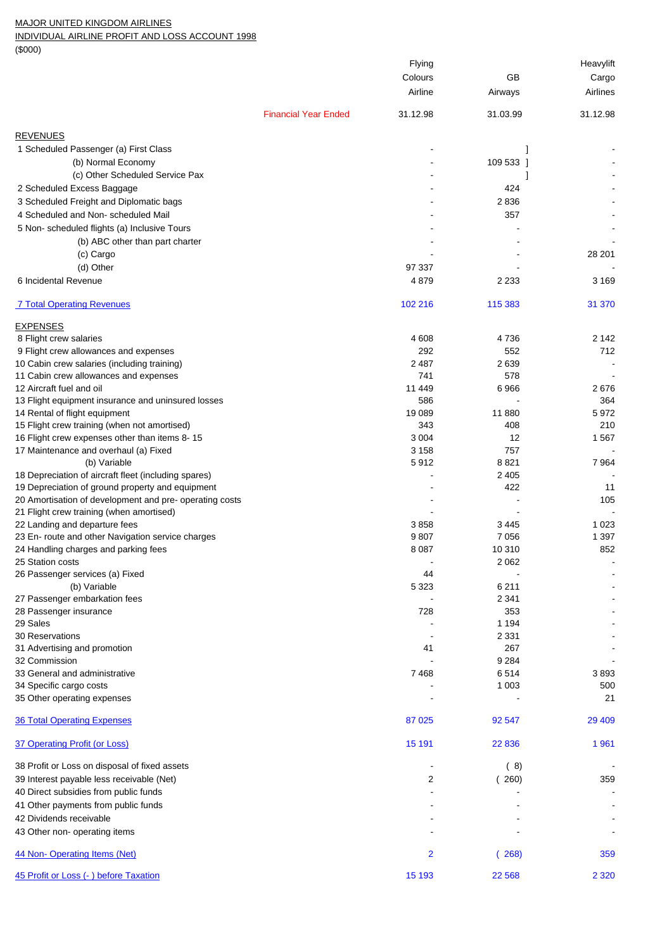## MAJOR UNITED KINGDOM AIRLINES

INDIVIDUAL AIRLINE PROFIT AND LOSS ACCOUNT 1998

(\$000)

| (4000)                                                  |                             |                |           |           |
|---------------------------------------------------------|-----------------------------|----------------|-----------|-----------|
|                                                         |                             | Flying         |           | Heavylift |
|                                                         |                             | Colours        | GB        | Cargo     |
|                                                         |                             | Airline        | Airways   | Airlines  |
|                                                         | <b>Financial Year Ended</b> | 31.12.98       | 31.03.99  | 31.12.98  |
| <b>REVENUES</b>                                         |                             |                |           |           |
| 1 Scheduled Passenger (a) First Class                   |                             |                |           |           |
| (b) Normal Economy                                      |                             |                | 109 533 1 |           |
|                                                         |                             |                |           |           |
| (c) Other Scheduled Service Pax                         |                             |                |           |           |
| 2 Scheduled Excess Baggage                              |                             |                | 424       |           |
| 3 Scheduled Freight and Diplomatic bags                 |                             |                | 2836      |           |
| 4 Scheduled and Non-scheduled Mail                      |                             |                | 357       |           |
| 5 Non-scheduled flights (a) Inclusive Tours             |                             |                |           |           |
| (b) ABC other than part charter                         |                             |                |           |           |
| (c) Cargo                                               |                             |                |           | 28 201    |
| (d) Other                                               |                             | 97 337         |           |           |
|                                                         |                             |                |           |           |
| 6 Incidental Revenue                                    |                             | 4879           | 2 2 3 3   | 3 1 6 9   |
| <b>7 Total Operating Revenues</b>                       |                             | 102 216        | 115 383   | 31 370    |
| <b>EXPENSES</b>                                         |                             |                |           |           |
| 8 Flight crew salaries                                  |                             | 4 608          | 4736      | 2 1 4 2   |
| 9 Flight crew allowances and expenses                   |                             | 292            | 552       | 712       |
| 10 Cabin crew salaries (including training)             |                             | 2 4 8 7        | 2639      |           |
| 11 Cabin crew allowances and expenses                   |                             | 741            | 578       |           |
| 12 Aircraft fuel and oil                                |                             | 11 449         | 6966      | 2676      |
|                                                         |                             | 586            |           | 364       |
| 13 Flight equipment insurance and uninsured losses      |                             |                |           |           |
| 14 Rental of flight equipment                           |                             | 19 089         | 11880     | 5972      |
| 15 Flight crew training (when not amortised)            |                             | 343            | 408       | 210       |
| 16 Flight crew expenses other than items 8-15           |                             | 3 0 0 4        | 12        | 1567      |
| 17 Maintenance and overhaul (a) Fixed                   |                             | 3 1 5 8        | 757       |           |
| (b) Variable                                            |                             | 5912           | 8821      | 7964      |
| 18 Depreciation of aircraft fleet (including spares)    |                             |                | 2 4 0 5   |           |
| 19 Depreciation of ground property and equipment        |                             |                | 422       | 11        |
| 20 Amortisation of development and pre- operating costs |                             |                |           | 105       |
| 21 Flight crew training (when amortised)                |                             |                |           |           |
| 22 Landing and departure fees                           |                             | 3858           | 3445      | 1 0 2 3   |
| 23 En- route and other Navigation service charges       |                             | 9807           | 7 0 5 6   | 1 3 9 7   |
| 24 Handling charges and parking fees                    |                             | 8 0 8 7        | 10 310    | 852       |
| 25 Station costs                                        |                             |                | 2 0 6 2   |           |
| 26 Passenger services (a) Fixed                         |                             | 44             |           |           |
| (b) Variable                                            |                             | 5 3 2 3        | 6 2 1 1   |           |
| 27 Passenger embarkation fees                           |                             |                | 2 3 4 1   |           |
| 28 Passenger insurance                                  |                             | 728            | 353       |           |
| 29 Sales                                                |                             |                | 1 1 9 4   |           |
|                                                         |                             |                |           |           |
| <b>30 Reservations</b>                                  |                             |                | 2 3 3 1   |           |
| 31 Advertising and promotion                            |                             | 41             | 267       |           |
| 32 Commission                                           |                             |                | 9 2 8 4   |           |
| 33 General and administrative                           |                             | 7468           | 6514      | 3893      |
| 34 Specific cargo costs                                 |                             |                | 1 0 0 3   | 500       |
| 35 Other operating expenses                             |                             |                |           | 21        |
| <b>36 Total Operating Expenses</b>                      |                             | 87 025         | 92 547    | 29 409    |
| 37 Operating Profit (or Loss)                           |                             | 15 191         | 22 8 36   | 1961      |
| 38 Profit or Loss on disposal of fixed assets           |                             |                | (8)       |           |
|                                                         |                             |                |           |           |
| 39 Interest payable less receivable (Net)               |                             | 2              | (260)     | 359       |
| 40 Direct subsidies from public funds                   |                             |                |           |           |
| 41 Other payments from public funds                     |                             |                |           |           |
| 42 Dividends receivable                                 |                             |                |           |           |
| 43 Other non- operating items                           |                             |                |           |           |
| 44 Non-Operating Items (Net)                            |                             | $\overline{2}$ | (268)     | 359       |
| 45 Profit or Loss (- ) before Taxation                  |                             | 15 193         | 22 5 68   | 2 3 2 0   |
|                                                         |                             |                |           |           |